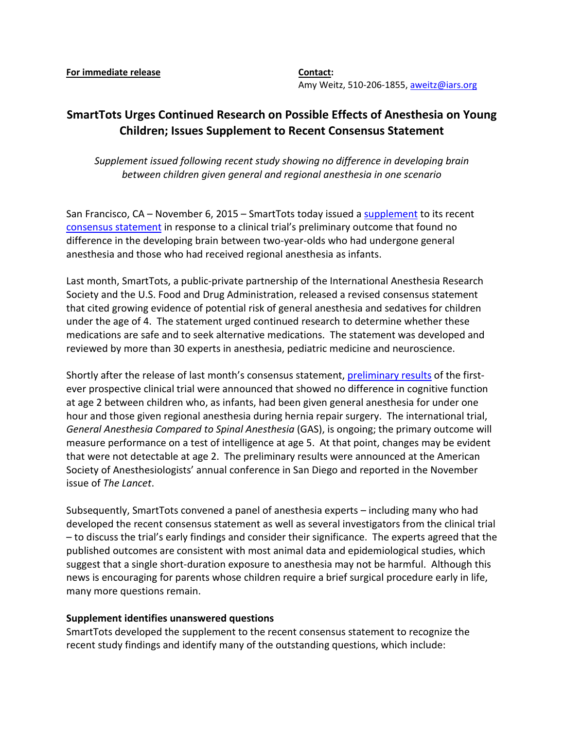Amy Weitz, 510-206-1855[, aweitz@iars.org](mailto:aweitz@iars.org)

## **SmartTots Urges Continued Research on Possible Effects of Anesthesia on Young Children; Issues Supplement to Recent Consensus Statement**

*Supplement issued following recent study showing no difference in developing brain between children given general and regional anesthesia in one scenario*

San Francisco, CA – November 6, 2015 – SmartTots today issued a [supplement](http://smarttots.org/consensus-statement-supplement/) to its recent [consensus statement](http://smarttots.org/about/consensus-statement/) in response to a clinical trial's preliminary outcome that found no difference in the developing brain between two-year-olds who had undergone general anesthesia and those who had received regional anesthesia as infants.

Last month, SmartTots, a public-private partnership of the International Anesthesia Research Society and the U.S. Food and Drug Administration, released a revised consensus statement that cited growing evidence of potential risk of general anesthesia and sedatives for children under the age of 4. The statement urged continued research to determine whether these medications are safe and to seek alternative medications. The statement was developed and reviewed by more than 30 experts in anesthesia, pediatric medicine and neuroscience.

Shortly after the release of last month's consensus statement, [preliminary results](http://www.thelancet.com/journals/lancet/article/PIIS0140-6736%2815%2900608-X/abstract) of the firstever prospective clinical trial were announced that showed no difference in cognitive function at age 2 between children who, as infants, had been given general anesthesia for under one hour and those given regional anesthesia during hernia repair surgery. The international trial, *General Anesthesia Compared to Spinal Anesthesia* (GAS), is ongoing; the primary outcome will measure performance on a test of intelligence at age 5. At that point, changes may be evident that were not detectable at age 2. The preliminary results were announced at the American Society of Anesthesiologists' annual conference in San Diego and reported in the November issue of *The Lancet*.

Subsequently, SmartTots convened a panel of anesthesia experts – including many who had developed the recent consensus statement as well as several investigators from the clinical trial – to discuss the trial's early findings and consider their significance. The experts agreed that the published outcomes are consistent with most animal data and epidemiological studies, which suggest that a single short-duration exposure to anesthesia may not be harmful. Although this news is encouraging for parents whose children require a brief surgical procedure early in life, many more questions remain.

## **Supplement identifies unanswered questions**

SmartTots developed the supplement to the recent consensus statement to recognize the recent study findings and identify many of the outstanding questions, which include: